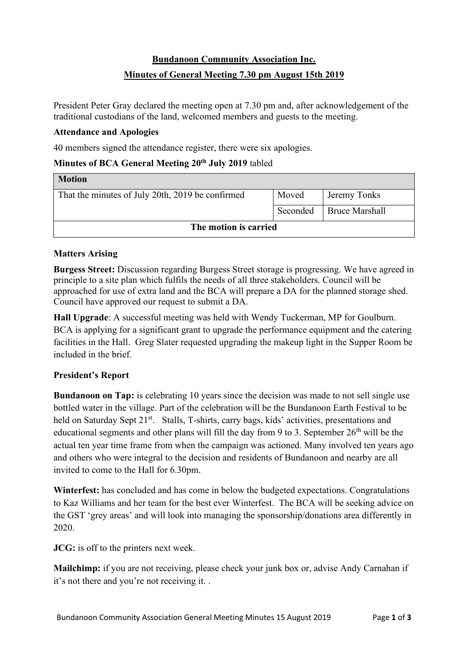# **Bundanoon Community Association Inc.**

## **Minutes of General Meeting 7.30 pm August 15th 2019**

President Peter Gray declared the meeting open at 7.30 pm and, after acknowledgement of the traditional custodians of the land, welcomed members and guests to the meeting.

#### **Attendance and Apologies**

40 members signed the attendance register, there were six apologies.

### **Minutes of BCA General Meeting 20th July 2019** tabled

| <b>Motion</b>                                    |       |                         |  |
|--------------------------------------------------|-------|-------------------------|--|
| That the minutes of July 20th, 2019 be confirmed | Moved | Jeremy Tonks            |  |
|                                                  |       | Seconded Bruce Marshall |  |
| The motion is carried                            |       |                         |  |

### **Matters Arising**

**Burgess Street:** Discussion regarding Burgess Street storage is progressing. We have agreed in principle to a site plan which fulfils the needs of all three stakeholders. Council will be approached for use of extra land and the BCA will prepare a DA for the planned storage shed. Council have approved our request to submit a DA.

**Hall Upgrade**: A successful meeting was held with Wendy Tuckerman, MP for Goulburn. BCA is applying for a significant grant to upgrade the performance equipment and the catering facilities in the Hall. Greg Slater requested upgrading the makeup light in the Supper Room be included in the brief.

### **President's Report**

**Bundanoon on Tap:** is celebrating 10 years since the decision was made to not sell single use bottled water in the village. Part of the celebration will be the Bundanoon Earth Festival to be held on Saturday Sept 21<sup>st</sup>. Stalls, T-shirts, carry bags, kids' activities, presentations and educational segments and other plans will fill the day from 9 to 3. September  $26<sup>th</sup>$  will be the actual ten year time frame from when the campaign was actioned. Many involved ten years ago and others who were integral to the decision and residents of Bundanoon and nearby are all invited to come to the Hall for 6.30pm.

**Winterfest:** has concluded and has come in below the budgeted expectations. Congratulations to Kaz Williams and her team for the best ever Winterfest. The BCA will be seeking advice on the GST 'grey areas' and will look into managing the sponsorship/donations area differently in 2020.

**JCG:** is off to the printers next week.

**Mailchimp:** if you are not receiving, please check your junk box or, advise Andy Carnahan if it's not there and you're not receiving it. .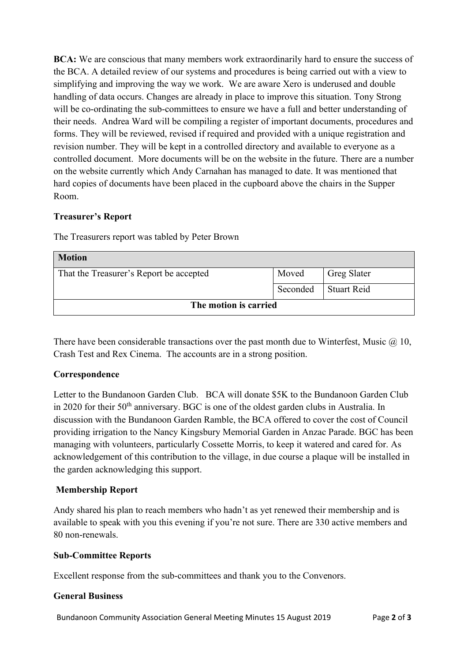**BCA:** We are conscious that many members work extraordinarily hard to ensure the success of the BCA. A detailed review of our systems and procedures is being carried out with a view to simplifying and improving the way we work. We are aware Xero is underused and double handling of data occurs. Changes are already in place to improve this situation. Tony Strong will be co-ordinating the sub-committees to ensure we have a full and better understanding of their needs. Andrea Ward will be compiling a register of important documents, procedures and forms. They will be reviewed, revised if required and provided with a unique registration and revision number. They will be kept in a controlled directory and available to everyone as a controlled document. More documents will be on the website in the future. There are a number on the website currently which Andy Carnahan has managed to date. It was mentioned that hard copies of documents have been placed in the cupboard above the chairs in the Supper Room.

### **Treasurer's Report**

The Treasurers report was tabled by Peter Brown

| <b>Motion</b>                           |          |                    |  |
|-----------------------------------------|----------|--------------------|--|
| That the Treasurer's Report be accepted | Moved    | <b>Greg Slater</b> |  |
|                                         | Seconded | Stuart Reid        |  |
| The motion is carried                   |          |                    |  |

There have been considerable transactions over the past month due to Winterfest, Music  $\omega$  10, Crash Test and Rex Cinema. The accounts are in a strong position.

### **Correspondence**

Letter to the Bundanoon Garden Club. BCA will donate \$5K to the Bundanoon Garden Club in 2020 for their 50<sup>th</sup> anniversary. BGC is one of the oldest garden clubs in Australia. In discussion with the Bundanoon Garden Ramble, the BCA offered to cover the cost of Council providing irrigation to the Nancy Kingsbury Memorial Garden in Anzac Parade. BGC has been managing with volunteers, particularly Cossette Morris, to keep it watered and cared for. As acknowledgement of this contribution to the village, in due course a plaque will be installed in the garden acknowledging this support.

### **Membership Report**

Andy shared his plan to reach members who hadn't as yet renewed their membership and is available to speak with you this evening if you're not sure. There are 330 active members and 80 non-renewals.

### **Sub-Committee Reports**

Excellent response from the sub-committees and thank you to the Convenors.

#### **General Business**